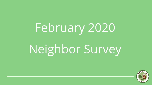# February 2020

## Neighbor Survey

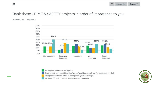#### Rank these CRIME & SAFETY projects in order of importance to you:

Answered: 35 Skipped: 0



Getting better/more street lighting

Creating a street-based Neighbor Watch (neighbors watch out for each other on their

- A neighborhood-wide effort to keep porch lights on at night
- Getting traffic calming devices to slow down speeders

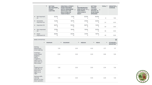|                          | $\mathbf{v}$              | <b>GETTING</b><br>BETTER/MORE_<br><b>STREET</b><br><b>LIGHTING</b> | <b>CREATING A STREET-</b><br><b>BASED NEIGHBOR</b><br><b>WATCH (NEIGHBORS</b><br>$\overline{\phantom{0}}$<br><b>WATCH OUT FOR</b><br><b>EACH OTHER ON</b><br><b>THEIR STREET)</b> | $\mathsf{A}$<br>NEIGHBORHOOD-<br>WIDE EFFORT TO _<br><b>KEEP PORCH</b><br><b>LIGHTS ON AT</b><br><b>NIGHT</b> | <b>GETTING</b><br><b>TRAFFIC</b><br><b>CALMING</b><br><b>DEVICES TO</b><br><b>SLOW DOWN</b><br><b>SPEEDERS</b> | TOTAL <b>v</b> | WEIGHTED_<br><b>AVERAGE</b> |
|--------------------------|---------------------------|--------------------------------------------------------------------|-----------------------------------------------------------------------------------------------------------------------------------------------------------------------------------|---------------------------------------------------------------------------------------------------------------|----------------------------------------------------------------------------------------------------------------|----------------|-----------------------------|
| $\overline{\phantom{a}}$ | Not Important<br>(1)      | 25.0%<br>$\overline{2}$                                            | 0.0%<br>$\circ$                                                                                                                                                                   | 25.0%<br>$\overline{2}$                                                                                       | 50.0%<br>4                                                                                                     | $\overline{8}$ | 1.00                        |
| ۰                        | Somewhat<br>Important (2) | 12.5%<br>3                                                         | 16.7%<br>4                                                                                                                                                                        | 37.5%<br>9                                                                                                    | 33.3%<br>8                                                                                                     | 24             | 2.00                        |
| ۰                        | Important (3)             | 26.7%<br>8                                                         | 33.3%<br>10                                                                                                                                                                       | 26.7%<br>8                                                                                                    | 13.3%<br>4                                                                                                     | 30             | 3.00                        |
| ۰                        | Very Important<br>(4)     | 27.8%<br>10                                                        | 19.4%<br>$\sim$                                                                                                                                                                   | 19.4%                                                                                                         | 33.3%<br>12                                                                                                    | 36             | 4.00                        |
| $\mathbf{v}$             | Super<br>Important! (5)   | 28.6%<br>12                                                        | 33.3%<br>14                                                                                                                                                                       | 21.4%<br>9                                                                                                    | 16.7%                                                                                                          | 42             | 5.00                        |

| <b>BASIC STATISTICS</b>                                                                                          |                     |                     |                    |                                     | $\odot$                        |
|------------------------------------------------------------------------------------------------------------------|---------------------|---------------------|--------------------|-------------------------------------|--------------------------------|
| $\check{\phantom{a}}$                                                                                            | <b>MINIMUM</b><br>۰ | <b>MAXIMUM</b><br>۰ | <b>MEDIAN</b><br>۰ | <b>MEAN</b><br>$\blacktriangledown$ | STANDARD _<br><b>DEVIATION</b> |
| Getting<br>better/more<br>street lighting                                                                        | 1.00                | 5.00                | 4.00               | 3.77                                | 1.17                           |
| Creating a<br>street-based<br>Neighbor<br>Watch<br>(neighbors<br>watch out for<br>each other on<br>their street) | 2.00                | 5.00                | 4.00               | 3.89                                | 1.06                           |
| A<br>neighborhood-<br>wide effort to<br>keep porch<br>lights on at<br>night                                      | 1.00                | 5.00                | 3.00               | 3.34                                | 1.26                           |
| Getting traffic<br>calming<br>devices to slow<br>down speeders                                                   | 1.00                | 5.00                | 4.00               | 3.29                                | 1.32                           |

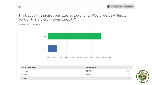Q<sub>2</sub>

⇘ Customize Save as ▼

Think about the project you rated as top priority. Would you be willing to work on this project in some capacity?



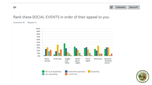

#### Rank these SOCIAL EVENTS in order of their appeal to you:

Answered: 35 Skipped: 0



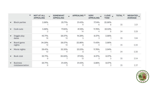|                          |                                     | <b>NOT AT ALL</b><br>٠<br><b>APPEALING</b> | <b>SOMEWHAT</b><br><b>APPEALING</b> | APPEALING Y  | <b>VERY</b><br><b>APPEALING</b> | <b>I LOVE</b><br>$\overline{\phantom{a}}$<br>THIS! | TOTAL <b>*</b> | WEIGHTED _<br><b>AVERAGE</b> |
|--------------------------|-------------------------------------|--------------------------------------------|-------------------------------------|--------------|---------------------------------|----------------------------------------------------|----------------|------------------------------|
| ۰                        | <b>Block parties</b>                | 2.86%                                      | 25.71%<br>9                         | 31.43%<br>11 | 17.14%<br>6                     | 22.86%<br>8                                        | 35             | 3.31                         |
|                          | Cook-outs                           | 5.88%<br>2                                 | 17.65%<br>6                         | 41.18%<br>14 | 11.76%                          | 23.53%<br>8                                        | 34             | 3.29                         |
| ۰                        | Doggie play<br>dates                | 45.71%<br>16                               | 28.57%<br>10                        | 14.29%<br>5  | 8.57%<br>3                      | 2.86%                                              | 35             | 1.94                         |
| ۰                        | Board game<br>nights                | 34.29%<br>12                               | 28.57%<br>10                        | 22.86%<br>8  | 11.43%                          | 2.86%                                              | 35             | 2.20                         |
| $\overline{\phantom{a}}$ | Movie nights                        | 29.41%<br>10                               | 32.35%<br>11                        | 23.53%<br>8  | 11.76%                          | 2.94%                                              | 34             | 2.26                         |
| $\mathbf{v}$             | Book club                           | 25.71%<br>9                                | 20.00%<br>$\mathbf{r}$              | 37.14%<br>13 | 8.57%<br>3                      | 8.57%<br>3                                         | 35             | 2.54                         |
| $\mathbf{v}$             | <b>Business</b><br>club/association | 25.71%<br>9                                | 31.43%<br>11                        | 31.43%<br>11 | 2.86%                           | 8.57%<br>3                                         | 35             | 2.37                         |

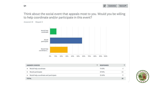

Think about the social event that appeals most to you. Would you be willing to help coordinate and/or participate in this event?



| <b>ANSWER CHOICES</b>                                 |        | <b>RESPONSES</b> |
|-------------------------------------------------------|--------|------------------|
| Would help coordinate<br>$\mathbf{v}$                 | 11.43% | $\Delta$         |
| Would participate<br>$\blacktriangledown$             | 57.14% | 20               |
| Would help coordinate and participate<br>$\mathbf{v}$ | 31.43% | $\overline{11}$  |
| <b>TOTAL</b>                                          |        | 35               |



 $Q<sub>4</sub>$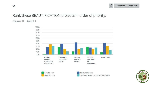

#### Rank these BEAUTIFICATION projects in order of priority:

**High Priority** 

Answered: 35 Skipped: 0





Medium Priority TOP PRIORITY Let's Start this NOW!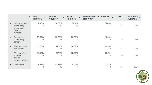|              | $\blacktriangledown$                                            | LOW<br>٠<br><b>PRIORITY</b> | <b>MEDIUM</b><br>٠<br><b>PRIORITY</b> | <b>HIGH</b><br>٠<br><b>PRIORITY</b> | <b>TOP PRIORITY LET'S START</b><br><b>THIS NOW!</b> | TOTAL *           | WEIGHTED _<br><b>AVERAGE</b> |
|--------------|-----------------------------------------------------------------|-----------------------------|---------------------------------------|-------------------------------------|-----------------------------------------------------|-------------------|------------------------------|
| ۰            | Having regular<br>community<br>clean-ups<br>(every 3<br>months) | 2.86%                       | 28.57%<br>10                          | 37.14%<br>13                        | 31.43%<br>11                                        | 35                | 3.97                         |
| $\mathbf{v}$ | Creating a<br>community<br>garden                               | 28.57%<br>10                | 40.00%<br>14                          | 20.00%<br>7                         | 11.43%<br>4                                         | 35                | 3.14                         |
| ۰            | <b>Planting trees</b><br>and flowers                            | 11.76%<br>4                 | 44.12%<br>15                          | 20.59%<br>7                         | 23.53%<br>8                                         | <b>COLL</b><br>34 | 3.56                         |
| ▼            | "Pick up after<br>your pet"<br>awareness<br>campaign/signs      | 28.57%<br>10                | 25.71%<br>9                           | 20.00%<br>7                         | 25.71%<br>9                                         | 35                | 3.43                         |
|              | Clear curbs                                                     | 8.57%<br>3                  | 42.86%<br>15                          | 31.43%<br>11                        | 17.14%<br>6                                         | 35                | 3.57                         |

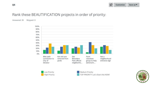

#### Rank these BEAUTIFICATION projects in order of priority:

Answered: 35 Skipped: 0







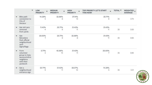|              | $\cdot$                                                                                     | LOW<br>٠<br><b>PRIORITY</b> | <b>MEDIUM</b><br><b>PRIORITY</b> | <b>HIGH</b><br><b>PRIORITY</b> | TOP PRIORITY LET'S START<br><b>THIS NOW!</b> | TOTAL <b>*</b> | WEIGHTED _<br><b>AVERAGE</b> |
|--------------|---------------------------------------------------------------------------------------------|-----------------------------|----------------------------------|--------------------------------|----------------------------------------------|----------------|------------------------------|
| $\checkmark$ | Bike path<br>connection to<br>City of<br>Decatur                                            | 14.29%<br>5                 | 22.86%<br>8                      | 37.14%<br>13                   | 25.71%<br>9                                  | an<br>35       | 3.74                         |
|              | Get old cars<br>removed<br>from yards                                                       | 11.43%<br>4                 | 25.71%<br>9                      | 31.43%<br>11                   | 31.43%<br>11                                 | 35             | 3.83                         |
| ÷            | Get<br>Belvedere<br>Park official<br>neighborhood<br>yard<br>signs/flags                    | 20,00%<br>7                 | 25.71%<br>9                      | 22.86%<br>8                    | 31.43%<br>11                                 | 35             | 3.66                         |
|              | Form<br>volunteer<br>group to help<br>seniors/infirm<br>neighbors<br>with their<br>yardwork | 5.71%<br>$\overline{2}$     | 42.86%<br>15                     | 31.43%<br>11                   | 20.00%<br>7                                  | 35             | 3.66                         |
|              | Get a<br>neighborhood<br>entrance sign                                                      | 25.71%<br>9                 | 31.43%<br>11                     | 28.57%<br>10                   | 14.29%<br>5                                  | 35             | 3.31                         |

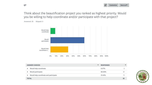

Think about the beautification project you ranked as highest priority. Would you be willing to help coordinate and/or participate with that project?



| <b>ANSWER CHOICES</b>                      | ۰ | <b>RESPONSES</b> | ▼  |
|--------------------------------------------|---|------------------|----|
| Would help coordinate                      |   | 8.57%            | э  |
| Would participate                          |   | 60.00%           | 21 |
| Would help coordinate and participate<br>۰ |   | 31.43%           |    |
| <b>TOTAL</b>                               |   |                  | 35 |

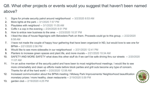### Q8. What other projects or events would you suggest that haven't been named above?

- 1. Signs for private security patrol around neighborhood -- 3/2/2020 8:53 AM
- 2. More lights at the park -- 3/1/2020 7:57 PM
- 3. Playdates with neighbors! -- 3/1/2020 11:05 AM
- 4. Coffe n a cop in the evening -- 2/24/2020 8:51 PM
- 5. How to entice new business to the area -- 2/23/2020 10:37 PM
- 6. I liked the idea of house flags/signs with Belvedere Park on them. Proceeds could go to this group. -- 2/22/2020 8:58 AM
- 7. I have not made the couple of happy hour gathering that have been organized in ND, but would love to see one for BPNA -- 2/21/2020 2:56 PM
- 8. Would like to see more sidewalks in our neighborhood -- 2/21/2020 12:41 PM
- 9. Planters to increase green spaces and plant life, and more murals -- 2/21/2020 10:34 AM
- 10. SAFETY AND MORE SAFETY what does this other stuff do if we can't be safe driving thru our streets -- 2/20/2020 11:07 AM
- 11. I'm an active member of the security patrol and have been to most neighborhood meetings. I would like to see more crime/safety and clean up efforts made before block parties and grill outs become any type of concern. Thanks for all of the hard work! -- 2/20/2020 12:56 AM
- 12. Increased communication about the BPNA meeting / Midway Park Improvements/ Neighborhood beautification monetary prizes / more healthy, clean restaurants -- 2/19/2020 5:59 PM



13. garden club -- 2/19/2020 4:25 PM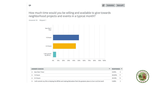

How much time would you be willing and available to give towards neighborhood projects and events in a typical month?



|              | <b>ANSWER CHOICES</b>                                                                                           | RESPONSES <b>W</b> |                |
|--------------|-----------------------------------------------------------------------------------------------------------------|--------------------|----------------|
|              | less than 1 hour                                                                                                | $0.00\%$           | $\circ$        |
|              | 1-2 hours                                                                                                       | 50.00%             | 17             |
|              | 2-4 hours                                                                                                       | 44.12%             | 15             |
| $\checkmark$ | I will commit my life to helping the BPNA and making Belvedere Park the greatest place to live in all the land! | 5.88%              | $\overline{2}$ |



Q<sub>9</sub>